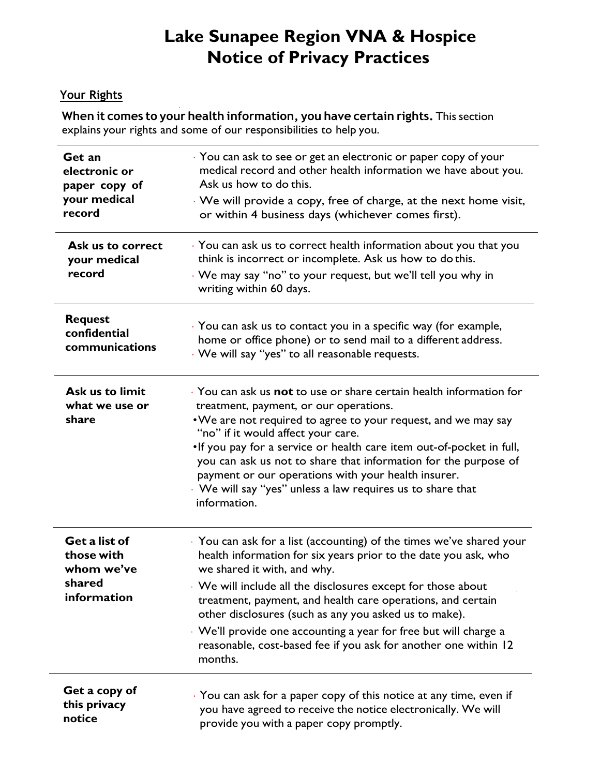# **Lake Sunapee Region VNA & Hospice Notice of Privacy Practices**

## **Your Rights**

**When it comes to your health information, you have certain rights.** This section explains your rights and some of our responsibilities to help you.

| Get an                                                             | You can ask to see or get an electronic or paper copy of your                                                                                                                                                                                                                                                                                                                                                                                                                                              |
|--------------------------------------------------------------------|------------------------------------------------------------------------------------------------------------------------------------------------------------------------------------------------------------------------------------------------------------------------------------------------------------------------------------------------------------------------------------------------------------------------------------------------------------------------------------------------------------|
| electronic or                                                      | medical record and other health information we have about you.                                                                                                                                                                                                                                                                                                                                                                                                                                             |
| paper copy of                                                      | Ask us how to do this.                                                                                                                                                                                                                                                                                                                                                                                                                                                                                     |
| your medical                                                       | We will provide a copy, free of charge, at the next home visit,                                                                                                                                                                                                                                                                                                                                                                                                                                            |
| record                                                             | or within 4 business days (whichever comes first).                                                                                                                                                                                                                                                                                                                                                                                                                                                         |
| Ask us to correct<br>your medical<br>record                        | You can ask us to correct health information about you that you<br>think is incorrect or incomplete. Ask us how to do this.<br>We may say "no" to your request, but we'll tell you why in<br>writing within 60 days.                                                                                                                                                                                                                                                                                       |
| <b>Request</b>                                                     | You can ask us to contact you in a specific way (for example,                                                                                                                                                                                                                                                                                                                                                                                                                                              |
| confidential                                                       | home or office phone) or to send mail to a different address.                                                                                                                                                                                                                                                                                                                                                                                                                                              |
| communications                                                     | We will say "yes" to all reasonable requests.                                                                                                                                                                                                                                                                                                                                                                                                                                                              |
| Ask us to limit<br>what we use or<br>share                         | • You can ask us <b>not</b> to use or share certain health information for<br>treatment, payment, or our operations.<br>. We are not required to agree to your request, and we may say<br>"no" if it would affect your care.<br>.If you pay for a service or health care item out-of-pocket in full,<br>you can ask us not to share that information for the purpose of<br>payment or our operations with your health insurer.<br>We will say "yes" unless a law requires us to share that<br>information. |
| Get a list of<br>those with<br>whom we've<br>shared<br>information | You can ask for a list (accounting) of the times we've shared your<br>health information for six years prior to the date you ask, who<br>we shared it with, and why.<br>We will include all the disclosures except for those about<br>treatment, payment, and health care operations, and certain<br>other disclosures (such as any you asked us to make).<br>We'll provide one accounting a year for free but will charge a<br>reasonable, cost-based fee if you ask for another one within 12<br>months. |
| Get a copy of                                                      | You can ask for a paper copy of this notice at any time, even if                                                                                                                                                                                                                                                                                                                                                                                                                                           |
| this privacy                                                       | you have agreed to receive the notice electronically. We will                                                                                                                                                                                                                                                                                                                                                                                                                                              |
| notice                                                             | provide you with a paper copy promptly.                                                                                                                                                                                                                                                                                                                                                                                                                                                                    |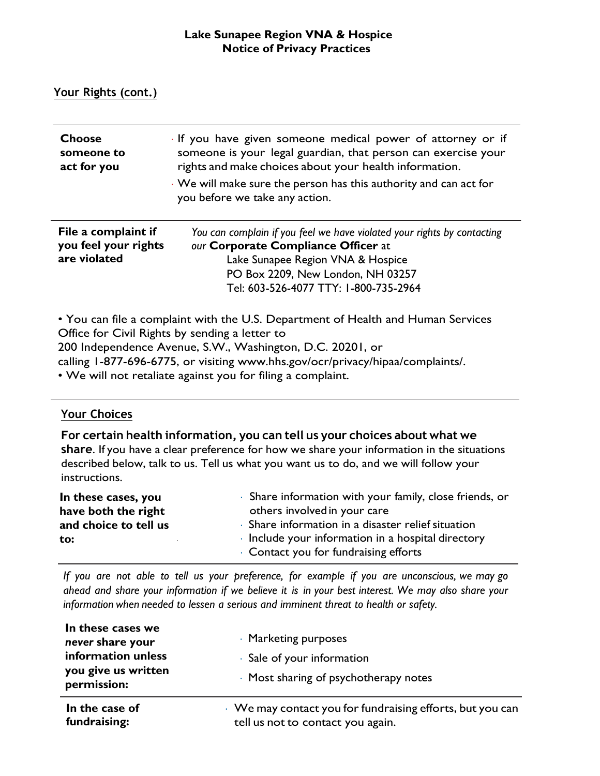### **Lake Sunapee Region VNA & Hospice Notice of Privacy Practices**

| Your Rights (cont.)                                         |                                                                                                                                                                                                                                                                                                                                                  |  |
|-------------------------------------------------------------|--------------------------------------------------------------------------------------------------------------------------------------------------------------------------------------------------------------------------------------------------------------------------------------------------------------------------------------------------|--|
| <b>Choose</b><br>someone to<br>act for you                  | If you have given someone medical power of attorney or if<br>someone is your legal guardian, that person can exercise your<br>rights and make choices about your health information.                                                                                                                                                             |  |
|                                                             | We will make sure the person has this authority and can act for<br>you before we take any action.                                                                                                                                                                                                                                                |  |
| File a complaint if<br>you feel your rights<br>are violated | You can complain if you feel we have violated your rights by contacting<br>our Corporate Compliance Officer at<br>Lake Sunapee Region VNA & Hospice<br>PO Box 2209, New London, NH 03257<br>Tel: 603-526-4077 TTY: 1-800-735-2964                                                                                                                |  |
|                                                             | • You can file a complaint with the U.S. Department of Health and Human Services<br>Office for Civil Rights by sending a letter to<br>200 Independence Avenue, S.W., Washington, D.C. 20201, or<br>calling 1-877-696-6775, or visiting www.hhs.gov/ocr/privacy/hipaa/complaints/.<br>• We will not retaliate against you for filing a complaint. |  |

#### **Your Choices**

**For certain health information, you can tell us your choices about what we share**. If you have a clear preference for how we share your information in the situations described below, talk to us. Tell us what you want us to do, and we will follow your instructions.

| In these cases, you   | • Share information with your family, close friends, or  |
|-----------------------|----------------------------------------------------------|
| have both the right   | others involved in your care                             |
| and choice to tell us | $\cdot$ Share information in a disaster relief situation |
| to:                   | Include your information in a hospital directory         |
|                       | • Contact you for fundraising efforts                    |

*If you are not able to tell us your preference, for example if you are unconscious, we may go ahead and share your information if we believe it is in your best interest. We may also share your information when needed to lessen a serious and imminent threat to health or safety.* 

| In these cases we<br>never share your<br>information unless<br>you give us written<br>permission: | • Marketing purposes<br>• Sale of your information<br>• Most sharing of psychotherapy notes |
|---------------------------------------------------------------------------------------------------|---------------------------------------------------------------------------------------------|
| In the case of                                                                                    | • We may contact you for fundraising efforts, but you can                                   |
| fundraising:                                                                                      | tell us not to contact you again.                                                           |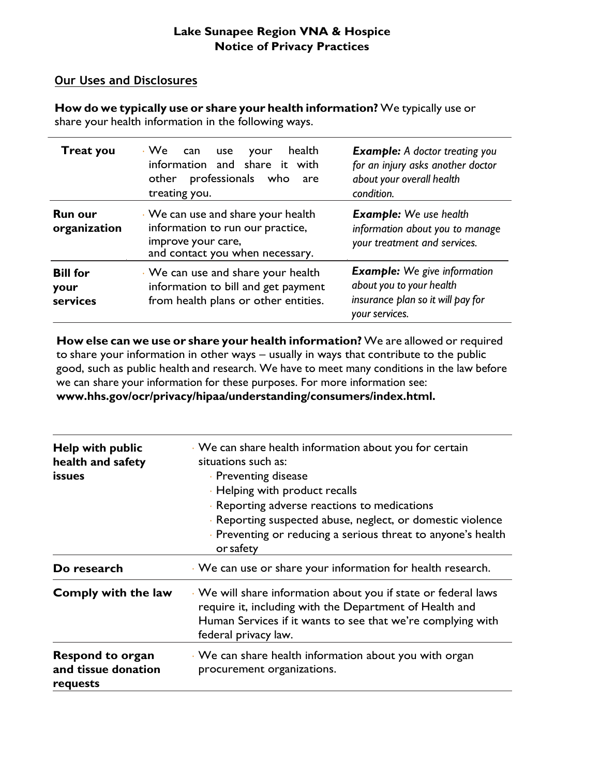#### **Our Uses and Disclosures**

**How do we typically use or share your health information?** We typically use or share your health information in the following ways.

| <b>Treat you</b>                    | $\cdot$ We can<br>health<br>use<br>your<br>information and share it<br>with<br>other professionals who<br>are<br>treating you. | <b>Example:</b> A doctor treating you<br>for an injury asks another doctor<br>about your overall health<br>condition.  |
|-------------------------------------|--------------------------------------------------------------------------------------------------------------------------------|------------------------------------------------------------------------------------------------------------------------|
| <b>Run our</b><br>organization      | We can use and share your health<br>information to run our practice,<br>improve your care,<br>and contact you when necessary.  | <b>Example:</b> We use health<br>information about you to manage<br>your treatment and services.                       |
| <b>Bill for</b><br>your<br>services | We can use and share your health<br>information to bill and get payment<br>from health plans or other entities.                | <b>Example:</b> We give information<br>about you to your health<br>insurance plan so it will pay for<br>your services. |

**How else can we use or share your health information?** We are allowed or required to share your information in other ways – usually in ways that contribute to the public good, such as public health and research. We have to meet many conditions in the law before we can share your information for these purposes. For more information see: **www.hhs.gov/ocr/privacy/hipaa/understanding/consumers/index.html.** 

| Help with public<br>health and safety<br>issues            | We can share health information about you for certain<br>situations such as:<br>• Preventing disease<br>· Helping with product recalls<br>· Reporting adverse reactions to medications<br>· Reporting suspected abuse, neglect, or domestic violence<br>· Preventing or reducing a serious threat to anyone's health<br>or safety |
|------------------------------------------------------------|-----------------------------------------------------------------------------------------------------------------------------------------------------------------------------------------------------------------------------------------------------------------------------------------------------------------------------------|
| Do research                                                | We can use or share your information for health research.                                                                                                                                                                                                                                                                         |
| Comply with the law                                        | We will share information about you if state or federal laws<br>require it, including with the Department of Health and<br>Human Services if it wants to see that we're complying with<br>federal privacy law.                                                                                                                    |
| <b>Respond to organ</b><br>and tissue donation<br>requests | We can share health information about you with organ<br>procurement organizations.                                                                                                                                                                                                                                                |